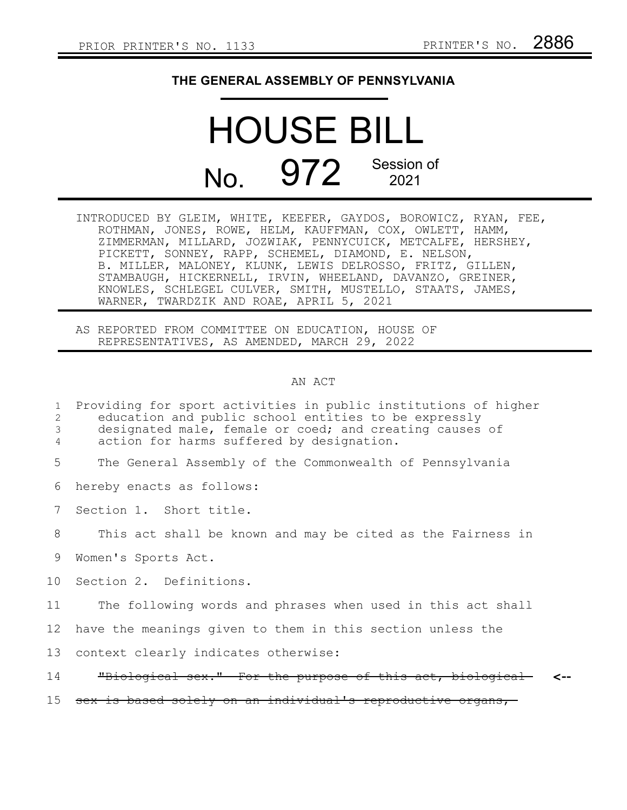## **THE GENERAL ASSEMBLY OF PENNSYLVANIA**

## HOUSE BILL No. 972 Session of

INTRODUCED BY GLEIM, WHITE, KEEFER, GAYDOS, BOROWICZ, RYAN, FEE, ROTHMAN, JONES, ROWE, HELM, KAUFFMAN, COX, OWLETT, HAMM, ZIMMERMAN, MILLARD, JOZWIAK, PENNYCUICK, METCALFE, HERSHEY, PICKETT, SONNEY, RAPP, SCHEMEL, DIAMOND, E. NELSON, B. MILLER, MALONEY, KLUNK, LEWIS DELROSSO, FRITZ, GILLEN, STAMBAUGH, HICKERNELL, IRVIN, WHEELAND, DAVANZO, GREINER, KNOWLES, SCHLEGEL CULVER, SMITH, MUSTELLO, STAATS, JAMES, WARNER, TWARDZIK AND ROAE, APRIL 5, 2021

AS REPORTED FROM COMMITTEE ON EDUCATION, HOUSE OF REPRESENTATIVES, AS AMENDED, MARCH 29, 2022

## AN ACT

| 1<br>2<br>3<br>4 | Providing for sport activities in public institutions of higher<br>education and public school entities to be expressly<br>designated male, female or coed; and creating causes of<br>action for harms suffered by designation. |
|------------------|---------------------------------------------------------------------------------------------------------------------------------------------------------------------------------------------------------------------------------|
| 5                | The General Assembly of the Commonwealth of Pennsylvania                                                                                                                                                                        |
| 6                | hereby enacts as follows:                                                                                                                                                                                                       |
| 7                | Section 1. Short title.                                                                                                                                                                                                         |
| 8                | This act shall be known and may be cited as the Fairness in                                                                                                                                                                     |
| 9                | Women's Sports Act.                                                                                                                                                                                                             |
| 10               | Section 2. Definitions.                                                                                                                                                                                                         |
| 11               | The following words and phrases when used in this act shall                                                                                                                                                                     |
| 12               | have the meanings given to them in this section unless the                                                                                                                                                                      |
| 13               | context clearly indicates otherwise:                                                                                                                                                                                            |
| 14               | "Biological sex." For the purpose of this act, biological                                                                                                                                                                       |
| 15 <sub>1</sub>  | sex is based solely on an individual's reproductive organs,                                                                                                                                                                     |
|                  |                                                                                                                                                                                                                                 |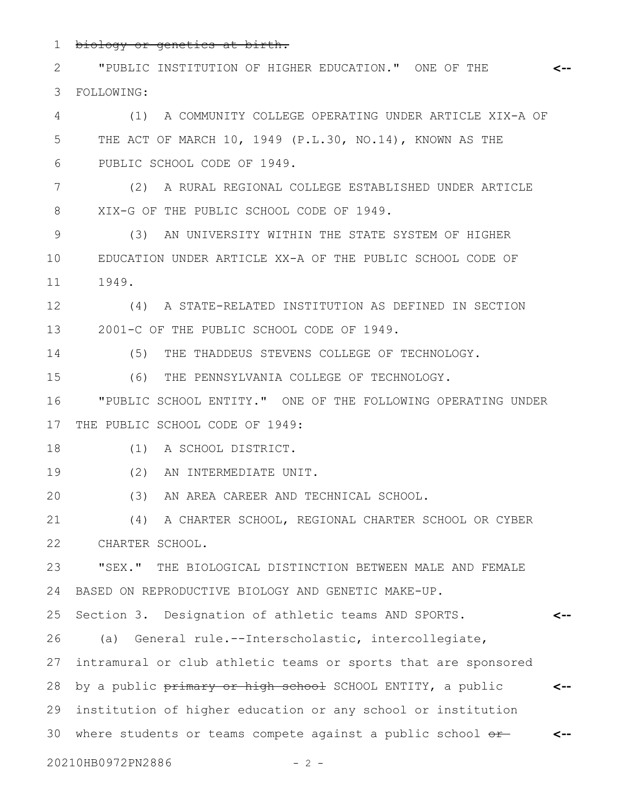biology or genetics at birth. 1

"PUBLIC INSTITUTION OF HIGHER EDUCATION." ONE OF THE FOLLOWING: **<--** 2 3

(1) A COMMUNITY COLLEGE OPERATING UNDER ARTICLE XIX-A OF THE ACT OF MARCH 10, 1949 (P.L.30, NO.14), KNOWN AS THE PUBLIC SCHOOL CODE OF 1949. 4 5 6

(2) A RURAL REGIONAL COLLEGE ESTABLISHED UNDER ARTICLE XIX-G OF THE PUBLIC SCHOOL CODE OF 1949. 7 8

(3) AN UNIVERSITY WITHIN THE STATE SYSTEM OF HIGHER EDUCATION UNDER ARTICLE XX-A OF THE PUBLIC SCHOOL CODE OF 1949. 9 10 11

(4) A STATE-RELATED INSTITUTION AS DEFINED IN SECTION 2001-C OF THE PUBLIC SCHOOL CODE OF 1949. 12 13

14

(5) THE THADDEUS STEVENS COLLEGE OF TECHNOLOGY.

(6) THE PENNSYLVANIA COLLEGE OF TECHNOLOGY. 15

"PUBLIC SCHOOL ENTITY." ONE OF THE FOLLOWING OPERATING UNDER THE PUBLIC SCHOOL CODE OF 1949: 16 17

(1) A SCHOOL DISTRICT. 18

(2) AN INTERMEDIATE UNIT. 19

(3) AN AREA CAREER AND TECHNICAL SCHOOL. 20

(4) A CHARTER SCHOOL, REGIONAL CHARTER SCHOOL OR CYBER CHARTER SCHOOL. 21 22

"SEX." THE BIOLOGICAL DISTINCTION BETWEEN MALE AND FEMALE BASED ON REPRODUCTIVE BIOLOGY AND GENETIC MAKE-UP. 23 24

Section 3. Designation of athletic teams AND SPORTS. **<--** 25

(a) General rule.--Interscholastic, intercollegiate, 26

intramural or club athletic teams or sports that are sponsored by a public primary or high school SCHOOL ENTITY, a public institution of higher education or any school or institution 30 where students or teams compete against a public school or 27 28 29

20210HB0972PN2886 - 2 -

**<--**

**<--**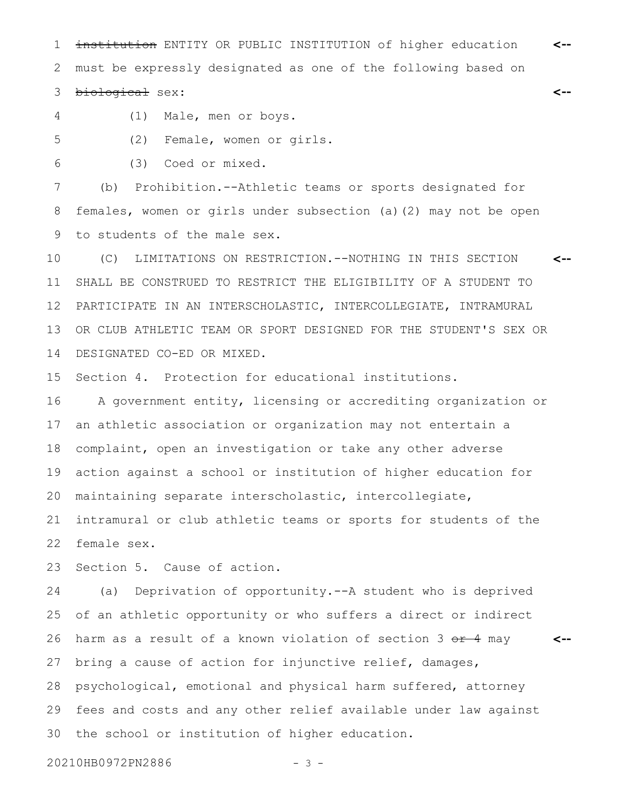1 institution ENTITY OR PUBLIC INSTITUTION of higher education <-must be expressly designated as one of the following based on biological sex: 2 3

4

5

(1) Male, men or boys.

(2) Female, women or girls.

(3) Coed or mixed. 6

(b) Prohibition.--Athletic teams or sports designated for females, women or girls under subsection (a)(2) may not be open to students of the male sex. 7 8 9

(C) LIMITATIONS ON RESTRICTION.--NOTHING IN THIS SECTION SHALL BE CONSTRUED TO RESTRICT THE ELIGIBILITY OF A STUDENT TO PARTICIPATE IN AN INTERSCHOLASTIC, INTERCOLLEGIATE, INTRAMURAL OR CLUB ATHLETIC TEAM OR SPORT DESIGNED FOR THE STUDENT'S SEX OR DESIGNATED CO-ED OR MIXED. **<--** 10 11 12 13 14

Section 4. Protection for educational institutions. 15

A government entity, licensing or accrediting organization or an athletic association or organization may not entertain a complaint, open an investigation or take any other adverse action against a school or institution of higher education for maintaining separate interscholastic, intercollegiate, 16 17 18 19 20

intramural or club athletic teams or sports for students of the female sex. 21 22

Section 5. Cause of action. 23

(a) Deprivation of opportunity.--A student who is deprived of an athletic opportunity or who suffers a direct or indirect harm as a result of a known violation of section  $3 \theta + 4$  may bring a cause of action for injunctive relief, damages, psychological, emotional and physical harm suffered, attorney fees and costs and any other relief available under law against the school or institution of higher education. 24 25 26 27 28 29 30

**<--**

**<--**

20210HB0972PN2886 - 3 -